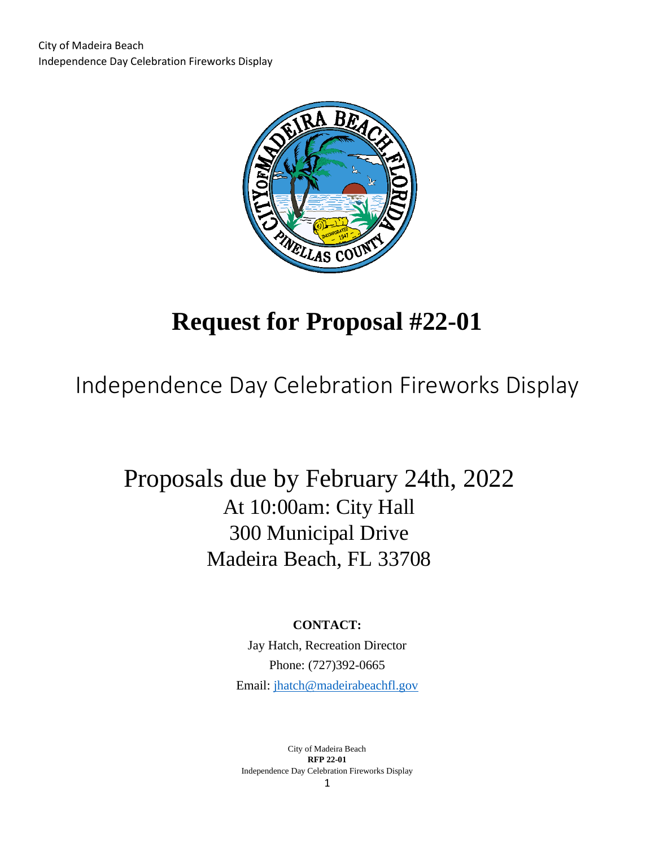

# **Request for Proposal #22-01**

Independence Day Celebration Fireworks Display

# Proposals due by February 24th, 2022 At 10:00am: City Hall 300 Municipal Drive Madeira Beach, FL 33708

# **CONTACT:**

Jay Hatch, Recreation Director Phone: (727)392-0665 Email: [jhatch@madeirabeachfl.gov](mailto:jhatch@madeirabeachfl.gov)

City of Madeira Beach **RFP 22-01** Independence Day Celebration Fireworks Display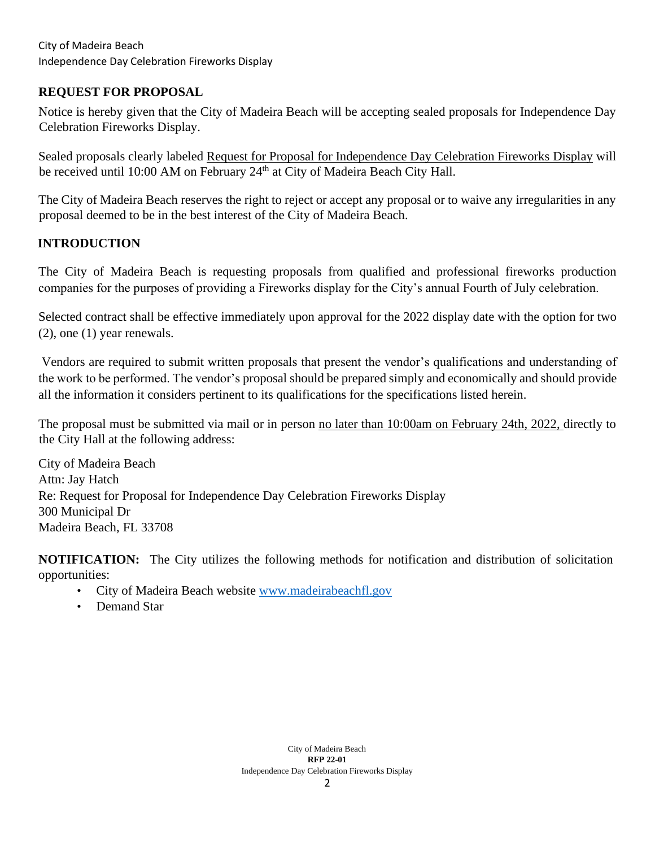# **REQUEST FOR PROPOSAL**

Notice is hereby given that the City of Madeira Beach will be accepting sealed proposals for Independence Day Celebration Fireworks Display.

Sealed proposals clearly labeled Request for Proposal for Independence Day Celebration Fireworks Display will be received until 10:00 AM on February 24<sup>th</sup> at City of Madeira Beach City Hall.

The City of Madeira Beach reserves the right to reject or accept any proposal or to waive any irregularities in any proposal deemed to be in the best interest of the City of Madeira Beach.

# **INTRODUCTION**

The City of Madeira Beach is requesting proposals from qualified and professional fireworks production companies for the purposes of providing a Fireworks display for the City's annual Fourth of July celebration.

Selected contract shall be effective immediately upon approval for the 2022 display date with the option for two (2), one (1) year renewals.

Vendors are required to submit written proposals that present the vendor's qualifications and understanding of the work to be performed. The vendor's proposal should be prepared simply and economically and should provide all the information it considers pertinent to its qualifications for the specifications listed herein.

The proposal must be submitted via mail or in person no later than 10:00am on February 24th, 2022, directly to the City Hall at the following address:

City of Madeira Beach Attn: Jay Hatch Re: Request for Proposal for Independence Day Celebration Fireworks Display 300 Municipal Dr Madeira Beach, FL 33708

**NOTIFICATION:** The City utilizes the following methods for notification and distribution of solicitation opportunities:

- City of Madeira Beach website [www.madeirabeachfl.gov](http://www.madeirabeachfl.gov/)
- Demand Star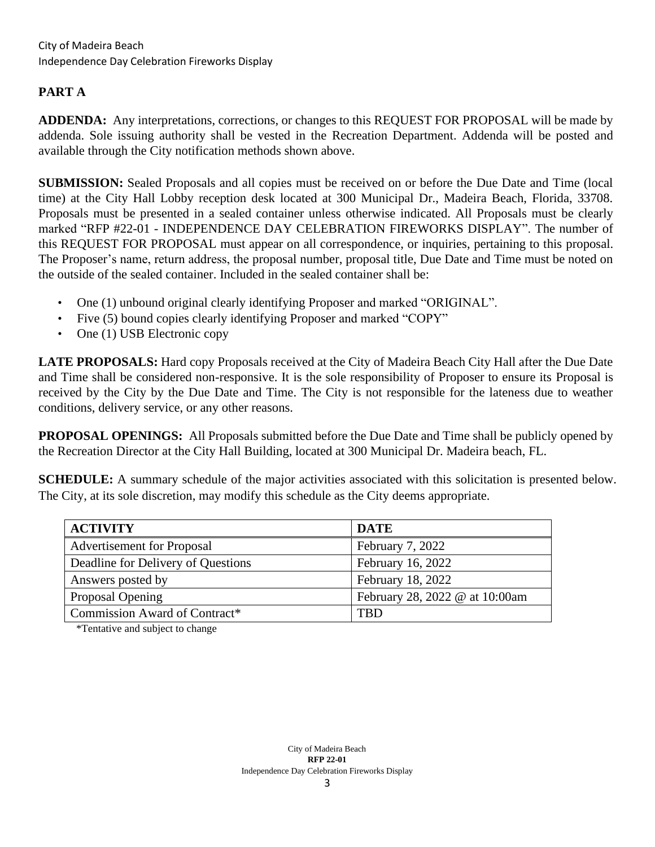# **PART A**

**ADDENDA:** Any interpretations, corrections, or changes to this REQUEST FOR PROPOSAL will be made by addenda. Sole issuing authority shall be vested in the Recreation Department. Addenda will be posted and available through the City notification methods shown above.

**SUBMISSION:** Sealed Proposals and all copies must be received on or before the Due Date and Time (local time) at the City Hall Lobby reception desk located at 300 Municipal Dr., Madeira Beach, Florida, 33708. Proposals must be presented in a sealed container unless otherwise indicated. All Proposals must be clearly marked "RFP #22-01 - INDEPENDENCE DAY CELEBRATION FIREWORKS DISPLAY". The number of this REQUEST FOR PROPOSAL must appear on all correspondence, or inquiries, pertaining to this proposal. The Proposer's name, return address, the proposal number, proposal title, Due Date and Time must be noted on the outside of the sealed container. Included in the sealed container shall be:

- One (1) unbound original clearly identifying Proposer and marked "ORIGINAL".
- Five (5) bound copies clearly identifying Proposer and marked "COPY"
- One (1) USB Electronic copy

**LATE PROPOSALS:** Hard copy Proposals received at the City of Madeira Beach City Hall after the Due Date and Time shall be considered non-responsive. It is the sole responsibility of Proposer to ensure its Proposal is received by the City by the Due Date and Time. The City is not responsible for the lateness due to weather conditions, delivery service, or any other reasons.

**PROPOSAL OPENINGS:** All Proposals submitted before the Due Date and Time shall be publicly opened by the Recreation Director at the City Hall Building, located at 300 Municipal Dr. Madeira beach, FL.

**SCHEDULE:** A summary schedule of the major activities associated with this solicitation is presented below. The City, at its sole discretion, may modify this schedule as the City deems appropriate.

| <b>ACTIVITY</b>                    | <b>DATE</b>                    |
|------------------------------------|--------------------------------|
| <b>Advertisement for Proposal</b>  | February 7, 2022               |
| Deadline for Delivery of Questions | February 16, 2022              |
| Answers posted by                  | February 18, 2022              |
| Proposal Opening                   | February 28, 2022 @ at 10:00am |
| Commission Award of Contract*      | <b>TBD</b>                     |

\*Tentative and subject to change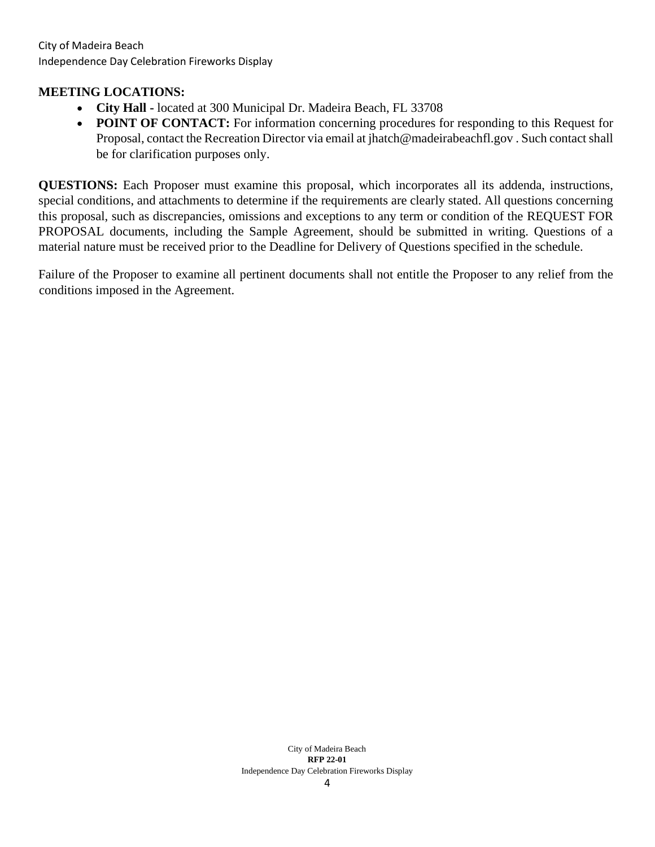#### **MEETING LOCATIONS:**

- **City Hall -** located at 300 Municipal Dr. Madeira Beach, FL 33708
- **POINT OF CONTACT:** For information concerning procedures for responding to this Request for Proposal, contact the Recreation Director via email at jhatch@madeirabeachfl.gov . Such contact shall be for clarification purposes only.

**QUESTIONS:** Each Proposer must examine this proposal, which incorporates all its addenda, instructions, special conditions, and attachments to determine if the requirements are clearly stated. All questions concerning this proposal, such as discrepancies, omissions and exceptions to any term or condition of the REQUEST FOR PROPOSAL documents, including the Sample Agreement, should be submitted in writing. Questions of a material nature must be received prior to the Deadline for Delivery of Questions specified in the schedule.

Failure of the Proposer to examine all pertinent documents shall not entitle the Proposer to any relief from the conditions imposed in the Agreement.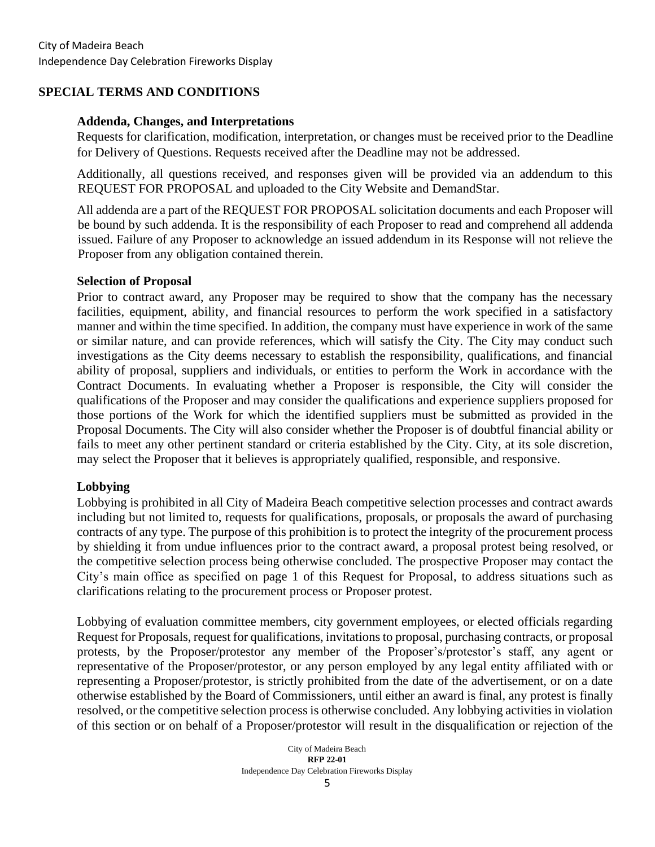#### **SPECIAL TERMS AND CONDITIONS**

#### **Addenda, Changes, and Interpretations**

Requests for clarification, modification, interpretation, or changes must be received prior to the Deadline for Delivery of Questions. Requests received after the Deadline may not be addressed.

Additionally, all questions received, and responses given will be provided via an addendum to this REQUEST FOR PROPOSAL and uploaded to the City Website and DemandStar.

All addenda are a part of the REQUEST FOR PROPOSAL solicitation documents and each Proposer will be bound by such addenda. It is the responsibility of each Proposer to read and comprehend all addenda issued. Failure of any Proposer to acknowledge an issued addendum in its Response will not relieve the Proposer from any obligation contained therein.

#### **Selection of Proposal**

Prior to contract award, any Proposer may be required to show that the company has the necessary facilities, equipment, ability, and financial resources to perform the work specified in a satisfactory manner and within the time specified. In addition, the company must have experience in work of the same or similar nature, and can provide references, which will satisfy the City. The City may conduct such investigations as the City deems necessary to establish the responsibility, qualifications, and financial ability of proposal, suppliers and individuals, or entities to perform the Work in accordance with the Contract Documents. In evaluating whether a Proposer is responsible, the City will consider the qualifications of the Proposer and may consider the qualifications and experience suppliers proposed for those portions of the Work for which the identified suppliers must be submitted as provided in the Proposal Documents. The City will also consider whether the Proposer is of doubtful financial ability or fails to meet any other pertinent standard or criteria established by the City. City, at its sole discretion, may select the Proposer that it believes is appropriately qualified, responsible, and responsive.

#### **Lobbying**

Lobbying is prohibited in all City of Madeira Beach competitive selection processes and contract awards including but not limited to, requests for qualifications, proposals, or proposals the award of purchasing contracts of any type. The purpose of this prohibition is to protect the integrity of the procurement process by shielding it from undue influences prior to the contract award, a proposal protest being resolved, or the competitive selection process being otherwise concluded. The prospective Proposer may contact the City's main office as specified on page 1 of this Request for Proposal, to address situations such as clarifications relating to the procurement process or Proposer protest.

Lobbying of evaluation committee members, city government employees, or elected officials regarding Request for Proposals, request for qualifications, invitations to proposal, purchasing contracts, or proposal protests, by the Proposer/protestor any member of the Proposer's/protestor's staff, any agent or representative of the Proposer/protestor, or any person employed by any legal entity affiliated with or representing a Proposer/protestor, is strictly prohibited from the date of the advertisement, or on a date otherwise established by the Board of Commissioners, until either an award is final, any protest is finally resolved, or the competitive selection process is otherwise concluded. Any lobbying activities in violation of this section or on behalf of a Proposer/protestor will result in the disqualification or rejection of the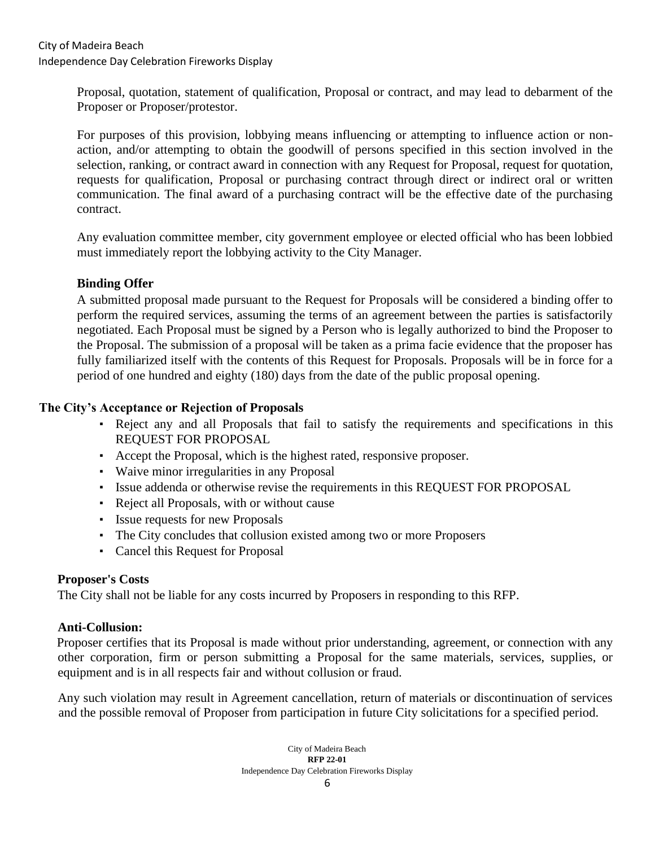Proposal, quotation, statement of qualification, Proposal or contract, and may lead to debarment of the Proposer or Proposer/protestor.

For purposes of this provision, lobbying means influencing or attempting to influence action or nonaction, and/or attempting to obtain the goodwill of persons specified in this section involved in the selection, ranking, or contract award in connection with any Request for Proposal, request for quotation, requests for qualification, Proposal or purchasing contract through direct or indirect oral or written communication. The final award of a purchasing contract will be the effective date of the purchasing contract.

Any evaluation committee member, city government employee or elected official who has been lobbied must immediately report the lobbying activity to the City Manager.

#### **Binding Offer**

A submitted proposal made pursuant to the Request for Proposals will be considered a binding offer to perform the required services, assuming the terms of an agreement between the parties is satisfactorily negotiated. Each Proposal must be signed by a Person who is legally authorized to bind the Proposer to the Proposal. The submission of a proposal will be taken as a prima facie evidence that the proposer has fully familiarized itself with the contents of this Request for Proposals. Proposals will be in force for a period of one hundred and eighty (180) days from the date of the public proposal opening.

#### **The City's Acceptance or Rejection of Proposals**

- Reject any and all Proposals that fail to satisfy the requirements and specifications in this REQUEST FOR PROPOSAL
- Accept the Proposal, which is the highest rated, responsive proposer.
- Waive minor irregularities in any Proposal
- Issue addenda or otherwise revise the requirements in this REQUEST FOR PROPOSAL
- Reject all Proposals, with or without cause
- Issue requests for new Proposals
- The City concludes that collusion existed among two or more Proposers
- Cancel this Request for Proposal

#### **Proposer's Costs**

The City shall not be liable for any costs incurred by Proposers in responding to this RFP.

# **Anti-Collusion:**

Proposer certifies that its Proposal is made without prior understanding, agreement, or connection with any other corporation, firm or person submitting a Proposal for the same materials, services, supplies, or equipment and is in all respects fair and without collusion or fraud.

Any such violation may result in Agreement cancellation, return of materials or discontinuation of services and the possible removal of Proposer from participation in future City solicitations for a specified period.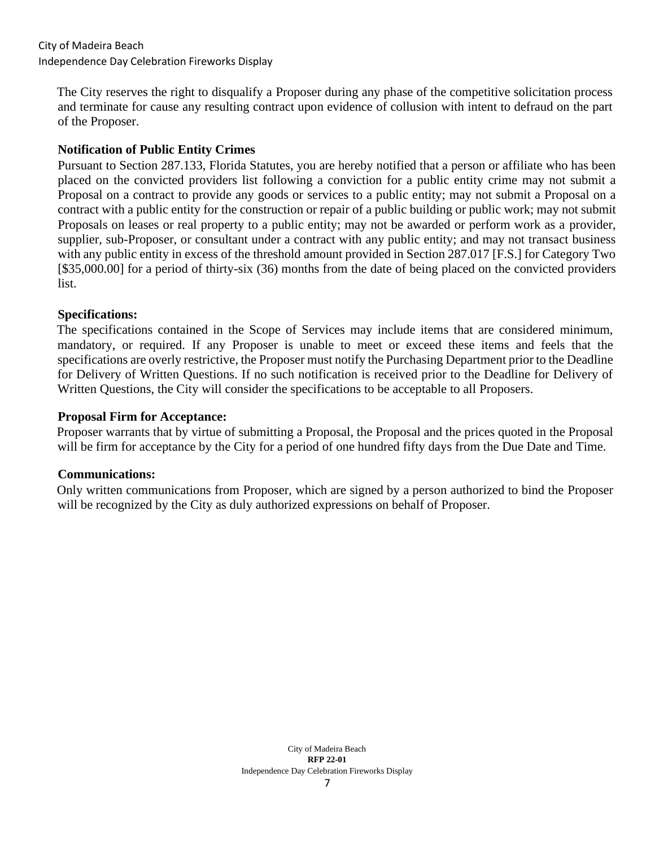The City reserves the right to disqualify a Proposer during any phase of the competitive solicitation process and terminate for cause any resulting contract upon evidence of collusion with intent to defraud on the part of the Proposer.

#### **Notification of Public Entity Crimes**

Pursuant to Section 287.133, Florida Statutes, you are hereby notified that a person or affiliate who has been placed on the convicted providers list following a conviction for a public entity crime may not submit a Proposal on a contract to provide any goods or services to a public entity; may not submit a Proposal on a contract with a public entity for the construction or repair of a public building or public work; may not submit Proposals on leases or real property to a public entity; may not be awarded or perform work as a provider, supplier, sub-Proposer, or consultant under a contract with any public entity; and may not transact business with any public entity in excess of the threshold amount provided in Section 287.017 [F.S.] for Category Two [\$35,000.00] for a period of thirty-six (36) months from the date of being placed on the convicted providers list.

#### **Specifications:**

The specifications contained in the Scope of Services may include items that are considered minimum, mandatory, or required. If any Proposer is unable to meet or exceed these items and feels that the specifications are overly restrictive, the Proposer must notify the Purchasing Department prior to the Deadline for Delivery of Written Questions. If no such notification is received prior to the Deadline for Delivery of Written Questions, the City will consider the specifications to be acceptable to all Proposers.

#### **Proposal Firm for Acceptance:**

Proposer warrants that by virtue of submitting a Proposal, the Proposal and the prices quoted in the Proposal will be firm for acceptance by the City for a period of one hundred fifty days from the Due Date and Time.

#### **Communications:**

Only written communications from Proposer, which are signed by a person authorized to bind the Proposer will be recognized by the City as duly authorized expressions on behalf of Proposer.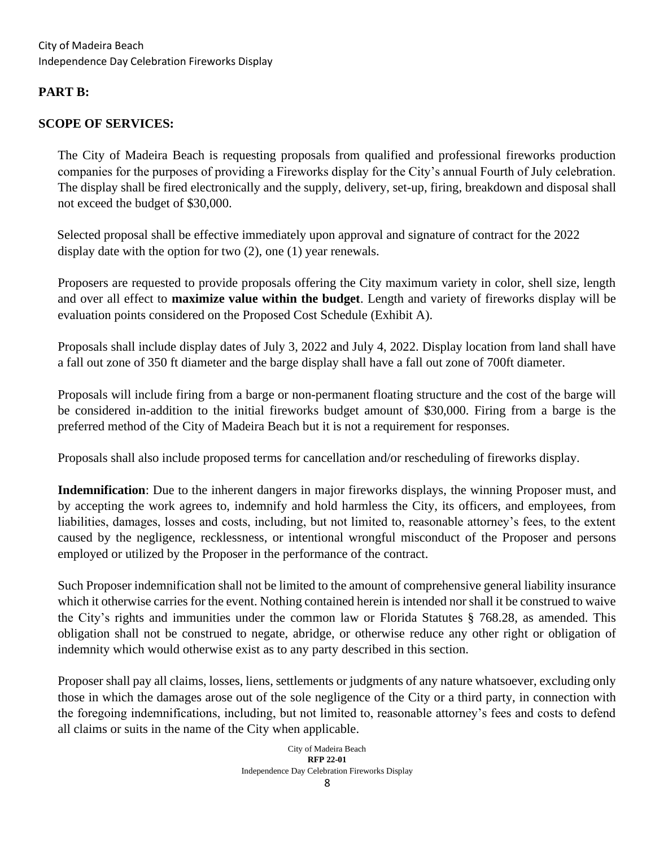# **PART B:**

# **SCOPE OF SERVICES:**

The City of Madeira Beach is requesting proposals from qualified and professional fireworks production companies for the purposes of providing a Fireworks display for the City's annual Fourth of July celebration. The display shall be fired electronically and the supply, delivery, set-up, firing, breakdown and disposal shall not exceed the budget of \$30,000.

Selected proposal shall be effective immediately upon approval and signature of contract for the 2022 display date with the option for two (2), one (1) year renewals.

Proposers are requested to provide proposals offering the City maximum variety in color, shell size, length and over all effect to **maximize value within the budget**. Length and variety of fireworks display will be evaluation points considered on the Proposed Cost Schedule (Exhibit A).

Proposals shall include display dates of July 3, 2022 and July 4, 2022. Display location from land shall have a fall out zone of 350 ft diameter and the barge display shall have a fall out zone of 700ft diameter.

Proposals will include firing from a barge or non-permanent floating structure and the cost of the barge will be considered in-addition to the initial fireworks budget amount of \$30,000. Firing from a barge is the preferred method of the City of Madeira Beach but it is not a requirement for responses.

Proposals shall also include proposed terms for cancellation and/or rescheduling of fireworks display.

**Indemnification**: Due to the inherent dangers in major fireworks displays, the winning Proposer must, and by accepting the work agrees to, indemnify and hold harmless the City, its officers, and employees, from liabilities, damages, losses and costs, including, but not limited to, reasonable attorney's fees, to the extent caused by the negligence, recklessness, or intentional wrongful misconduct of the Proposer and persons employed or utilized by the Proposer in the performance of the contract.

Such Proposer indemnification shall not be limited to the amount of comprehensive general liability insurance which it otherwise carries for the event. Nothing contained herein is intended nor shall it be construed to waive the City's rights and immunities under the common law or Florida Statutes § 768.28, as amended. This obligation shall not be construed to negate, abridge, or otherwise reduce any other right or obligation of indemnity which would otherwise exist as to any party described in this section.

Proposer shall pay all claims, losses, liens, settlements or judgments of any nature whatsoever, excluding only those in which the damages arose out of the sole negligence of the City or a third party, in connection with the foregoing indemnifications, including, but not limited to, reasonable attorney's fees and costs to defend all claims or suits in the name of the City when applicable.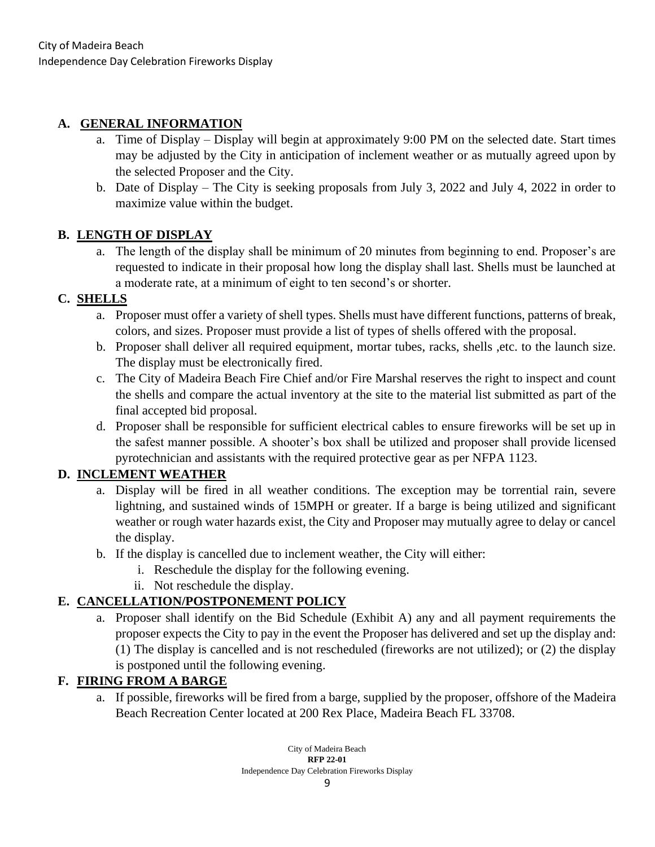# **A. GENERAL INFORMATION**

- a. Time of Display Display will begin at approximately 9:00 PM on the selected date. Start times may be adjusted by the City in anticipation of inclement weather or as mutually agreed upon by the selected Proposer and the City.
- b. Date of Display The City is seeking proposals from July 3, 2022 and July 4, 2022 in order to maximize value within the budget.

# **B. LENGTH OF DISPLAY**

a. The length of the display shall be minimum of 20 minutes from beginning to end. Proposer's are requested to indicate in their proposal how long the display shall last. Shells must be launched at a moderate rate, at a minimum of eight to ten second's or shorter.

# **C. SHELLS**

- a. Proposer must offer a variety of shell types. Shells must have different functions, patterns of break, colors, and sizes. Proposer must provide a list of types of shells offered with the proposal.
- b. Proposer shall deliver all required equipment, mortar tubes, racks, shells ,etc. to the launch size. The display must be electronically fired.
- c. The City of Madeira Beach Fire Chief and/or Fire Marshal reserves the right to inspect and count the shells and compare the actual inventory at the site to the material list submitted as part of the final accepted bid proposal.
- d. Proposer shall be responsible for sufficient electrical cables to ensure fireworks will be set up in the safest manner possible. A shooter's box shall be utilized and proposer shall provide licensed pyrotechnician and assistants with the required protective gear as per NFPA 1123.

# **D. INCLEMENT WEATHER**

- a. Display will be fired in all weather conditions. The exception may be torrential rain, severe lightning, and sustained winds of 15MPH or greater. If a barge is being utilized and significant weather or rough water hazards exist, the City and Proposer may mutually agree to delay or cancel the display.
- b. If the display is cancelled due to inclement weather, the City will either:
	- i. Reschedule the display for the following evening.
	- ii. Not reschedule the display.

# **E. CANCELLATION/POSTPONEMENT POLICY**

a. Proposer shall identify on the Bid Schedule (Exhibit A) any and all payment requirements the proposer expects the City to pay in the event the Proposer has delivered and set up the display and: (1) The display is cancelled and is not rescheduled (fireworks are not utilized); or (2) the display is postponed until the following evening.

# **F. FIRING FROM A BARGE**

a. If possible, fireworks will be fired from a barge, supplied by the proposer, offshore of the Madeira Beach Recreation Center located at 200 Rex Place, Madeira Beach FL 33708.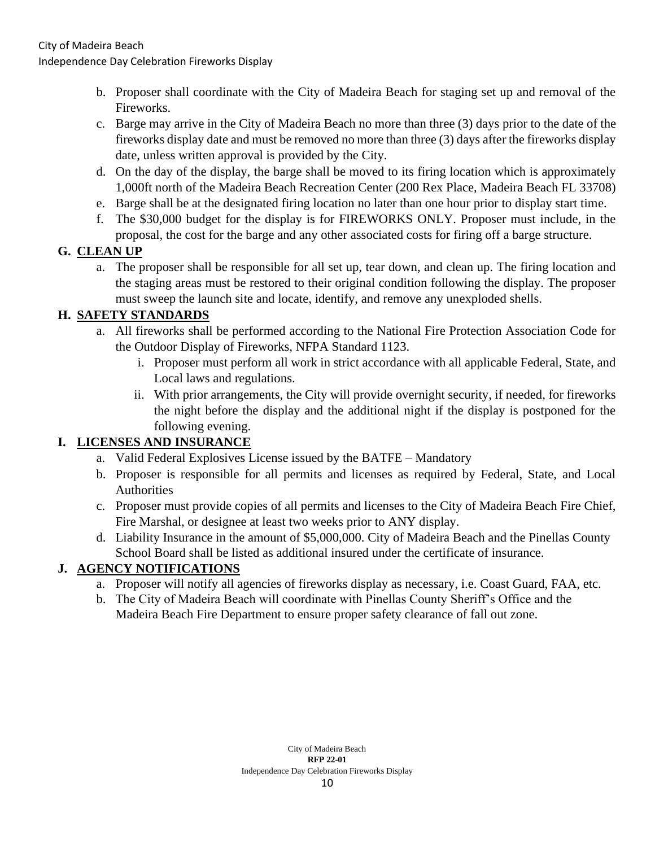Independence Day Celebration Fireworks Display

- b. Proposer shall coordinate with the City of Madeira Beach for staging set up and removal of the Fireworks.
- c. Barge may arrive in the City of Madeira Beach no more than three (3) days prior to the date of the fireworks display date and must be removed no more than three (3) days after the fireworks display date, unless written approval is provided by the City.
- d. On the day of the display, the barge shall be moved to its firing location which is approximately 1,000ft north of the Madeira Beach Recreation Center (200 Rex Place, Madeira Beach FL 33708)
- e. Barge shall be at the designated firing location no later than one hour prior to display start time.
- f. The \$30,000 budget for the display is for FIREWORKS ONLY. Proposer must include, in the proposal, the cost for the barge and any other associated costs for firing off a barge structure.

# **G. CLEAN UP**

a. The proposer shall be responsible for all set up, tear down, and clean up. The firing location and the staging areas must be restored to their original condition following the display. The proposer must sweep the launch site and locate, identify, and remove any unexploded shells.

# **H. SAFETY STANDARDS**

- a. All fireworks shall be performed according to the National Fire Protection Association Code for the Outdoor Display of Fireworks, NFPA Standard 1123.
	- i. Proposer must perform all work in strict accordance with all applicable Federal, State, and Local laws and regulations.
	- ii. With prior arrangements, the City will provide overnight security, if needed, for fireworks the night before the display and the additional night if the display is postponed for the following evening.

# **I. LICENSES AND INSURANCE**

- a. Valid Federal Explosives License issued by the BATFE Mandatory
- b. Proposer is responsible for all permits and licenses as required by Federal, State, and Local Authorities
- c. Proposer must provide copies of all permits and licenses to the City of Madeira Beach Fire Chief, Fire Marshal, or designee at least two weeks prior to ANY display.
- d. Liability Insurance in the amount of \$5,000,000. City of Madeira Beach and the Pinellas County School Board shall be listed as additional insured under the certificate of insurance.

# **J. AGENCY NOTIFICATIONS**

- a. Proposer will notify all agencies of fireworks display as necessary, i.e. Coast Guard, FAA, etc.
- b. The City of Madeira Beach will coordinate with Pinellas County Sheriff's Office and the Madeira Beach Fire Department to ensure proper safety clearance of fall out zone.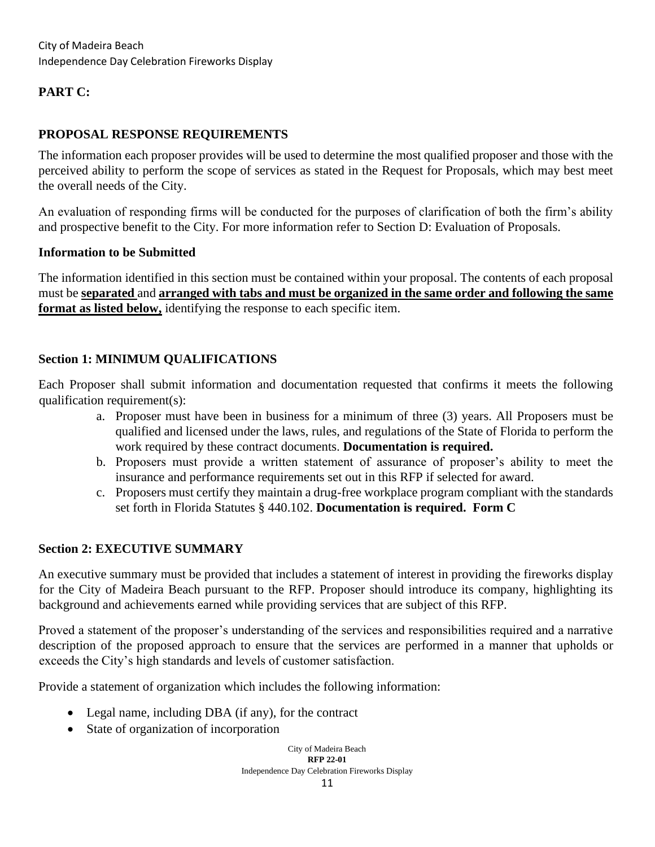# **PART C:**

# **PROPOSAL RESPONSE REQUIREMENTS**

The information each proposer provides will be used to determine the most qualified proposer and those with the perceived ability to perform the scope of services as stated in the Request for Proposals, which may best meet the overall needs of the City.

An evaluation of responding firms will be conducted for the purposes of clarification of both the firm's ability and prospective benefit to the City. For more information refer to Section D: Evaluation of Proposals.

#### **Information to be Submitted**

The information identified in this section must be contained within your proposal. The contents of each proposal must be **separated** and **arranged with tabs and must be organized in the same order and following the same format as listed below,** identifying the response to each specific item.

# **Section 1: MINIMUM QUALIFICATIONS**

Each Proposer shall submit information and documentation requested that confirms it meets the following qualification requirement(s):

- a. Proposer must have been in business for a minimum of three (3) years. All Proposers must be qualified and licensed under the laws, rules, and regulations of the State of Florida to perform the work required by these contract documents. **Documentation is required.**
- b. Proposers must provide a written statement of assurance of proposer's ability to meet the insurance and performance requirements set out in this RFP if selected for award.
- c. Proposers must certify they maintain a drug-free workplace program compliant with the standards set forth in Florida Statutes § 440.102. **Documentation is required. Form C**

# **Section 2: EXECUTIVE SUMMARY**

An executive summary must be provided that includes a statement of interest in providing the fireworks display for the City of Madeira Beach pursuant to the RFP. Proposer should introduce its company, highlighting its background and achievements earned while providing services that are subject of this RFP.

Proved a statement of the proposer's understanding of the services and responsibilities required and a narrative description of the proposed approach to ensure that the services are performed in a manner that upholds or exceeds the City's high standards and levels of customer satisfaction.

Provide a statement of organization which includes the following information:

- Legal name, including DBA (if any), for the contract
- State of organization of incorporation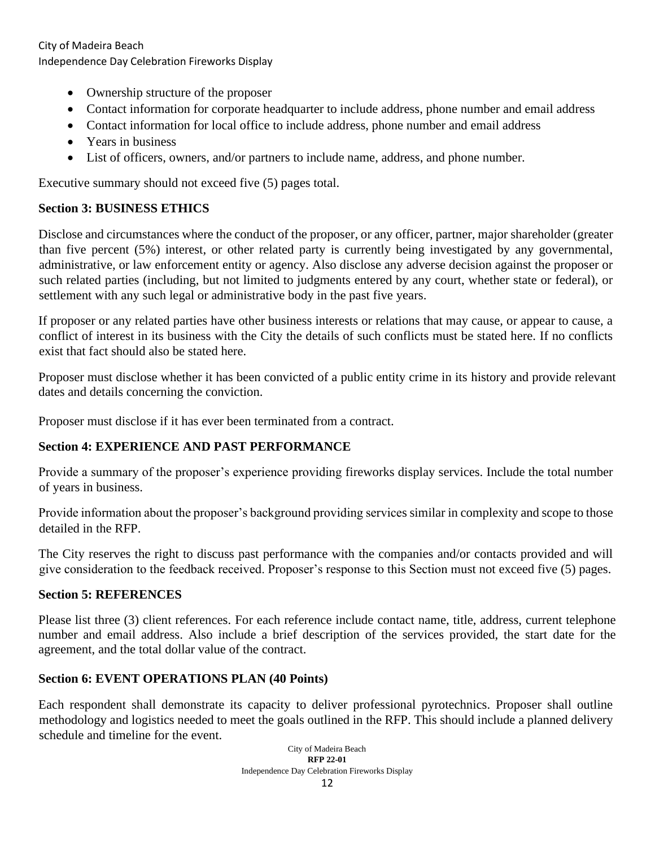- Ownership structure of the proposer
- Contact information for corporate headquarter to include address, phone number and email address
- Contact information for local office to include address, phone number and email address
- Years in business
- List of officers, owners, and/or partners to include name, address, and phone number.

Executive summary should not exceed five (5) pages total.

#### **Section 3: BUSINESS ETHICS**

Disclose and circumstances where the conduct of the proposer, or any officer, partner, major shareholder (greater than five percent (5%) interest, or other related party is currently being investigated by any governmental, administrative, or law enforcement entity or agency. Also disclose any adverse decision against the proposer or such related parties (including, but not limited to judgments entered by any court, whether state or federal), or settlement with any such legal or administrative body in the past five years.

If proposer or any related parties have other business interests or relations that may cause, or appear to cause, a conflict of interest in its business with the City the details of such conflicts must be stated here. If no conflicts exist that fact should also be stated here.

Proposer must disclose whether it has been convicted of a public entity crime in its history and provide relevant dates and details concerning the conviction.

Proposer must disclose if it has ever been terminated from a contract.

# **Section 4: EXPERIENCE AND PAST PERFORMANCE**

Provide a summary of the proposer's experience providing fireworks display services. Include the total number of years in business.

Provide information about the proposer's background providing services similar in complexity and scope to those detailed in the RFP.

The City reserves the right to discuss past performance with the companies and/or contacts provided and will give consideration to the feedback received. Proposer's response to this Section must not exceed five (5) pages.

# **Section 5: REFERENCES**

Please list three (3) client references. For each reference include contact name, title, address, current telephone number and email address. Also include a brief description of the services provided, the start date for the agreement, and the total dollar value of the contract.

# **Section 6: EVENT OPERATIONS PLAN (40 Points)**

Each respondent shall demonstrate its capacity to deliver professional pyrotechnics. Proposer shall outline methodology and logistics needed to meet the goals outlined in the RFP. This should include a planned delivery schedule and timeline for the event.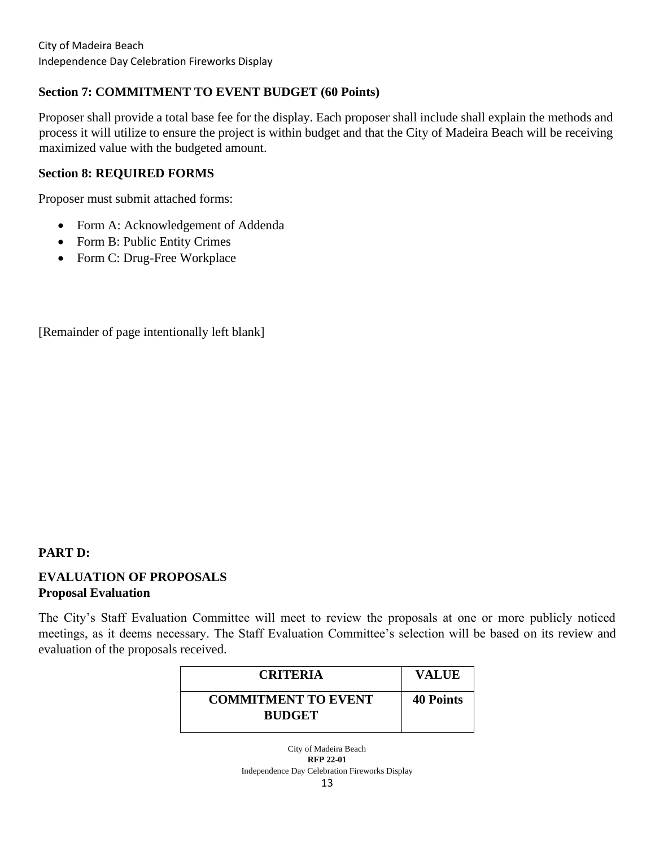# **Section 7: COMMITMENT TO EVENT BUDGET (60 Points)**

Proposer shall provide a total base fee for the display. Each proposer shall include shall explain the methods and process it will utilize to ensure the project is within budget and that the City of Madeira Beach will be receiving maximized value with the budgeted amount.

#### **Section 8: REQUIRED FORMS**

Proposer must submit attached forms:

- Form A: Acknowledgement of Addenda
- Form B: Public Entity Crimes
- Form C: Drug-Free Workplace

[Remainder of page intentionally left blank]

# **PART D:**

# **EVALUATION OF PROPOSALS Proposal Evaluation**

The City's Staff Evaluation Committee will meet to review the proposals at one or more publicly noticed meetings, as it deems necessary. The Staff Evaluation Committee's selection will be based on its review and evaluation of the proposals received.

| <b>CRITERIA</b>                             | <b>VALUE</b>     |
|---------------------------------------------|------------------|
| <b>COMMITMENT TO EVENT</b><br><b>BUDGET</b> | <b>40 Points</b> |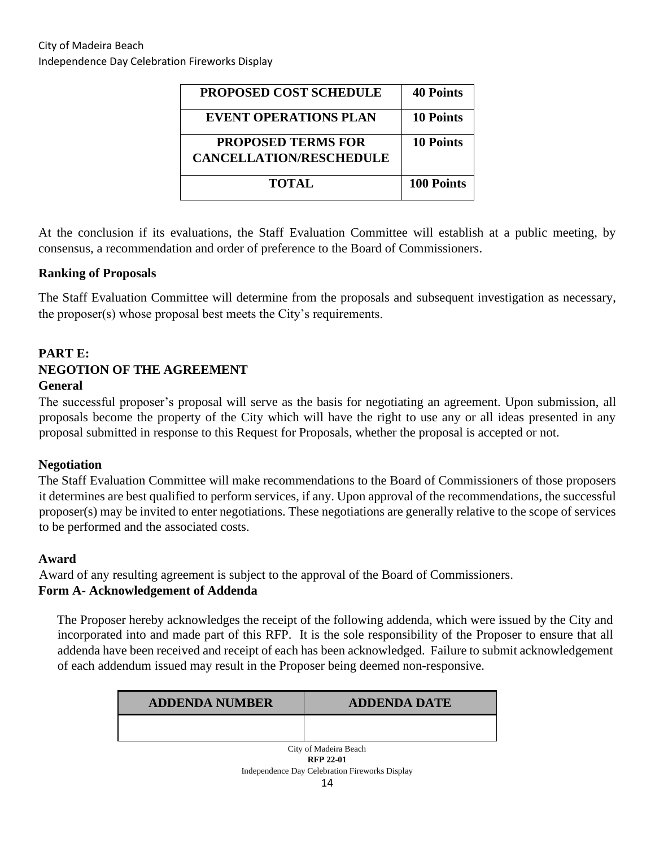| <b>PROPOSED COST SCHEDULE</b>  | <b>40 Points</b> |
|--------------------------------|------------------|
| <b>EVENT OPERATIONS PLAN</b>   | <b>10 Points</b> |
| <b>PROPOSED TERMS FOR</b>      | <b>10 Points</b> |
| <b>CANCELLATION/RESCHEDULE</b> |                  |
| <b>TOTAL</b>                   | 100 Points       |

At the conclusion if its evaluations, the Staff Evaluation Committee will establish at a public meeting, by consensus, a recommendation and order of preference to the Board of Commissioners.

#### **Ranking of Proposals**

The Staff Evaluation Committee will determine from the proposals and subsequent investigation as necessary, the proposer(s) whose proposal best meets the City's requirements.

# **PART E: NEGOTION OF THE AGREEMENT**

#### **General**

The successful proposer's proposal will serve as the basis for negotiating an agreement. Upon submission, all proposals become the property of the City which will have the right to use any or all ideas presented in any proposal submitted in response to this Request for Proposals, whether the proposal is accepted or not.

#### **Negotiation**

The Staff Evaluation Committee will make recommendations to the Board of Commissioners of those proposers it determines are best qualified to perform services, if any. Upon approval of the recommendations, the successful proposer(s) may be invited to enter negotiations. These negotiations are generally relative to the scope of services to be performed and the associated costs.

#### **Award**

Award of any resulting agreement is subject to the approval of the Board of Commissioners.

#### **Form A- Acknowledgement of Addenda**

The Proposer hereby acknowledges the receipt of the following addenda, which were issued by the City and incorporated into and made part of this RFP. It is the sole responsibility of the Proposer to ensure that all addenda have been received and receipt of each has been acknowledged. Failure to submit acknowledgement of each addendum issued may result in the Proposer being deemed non-responsive.

| <b>ADDENDA NUMBER</b>                     | <b>ADDENDA DATE</b> |  |
|-------------------------------------------|---------------------|--|
|                                           |                     |  |
| City of Madeira Beach<br><b>RFP 22-01</b> |                     |  |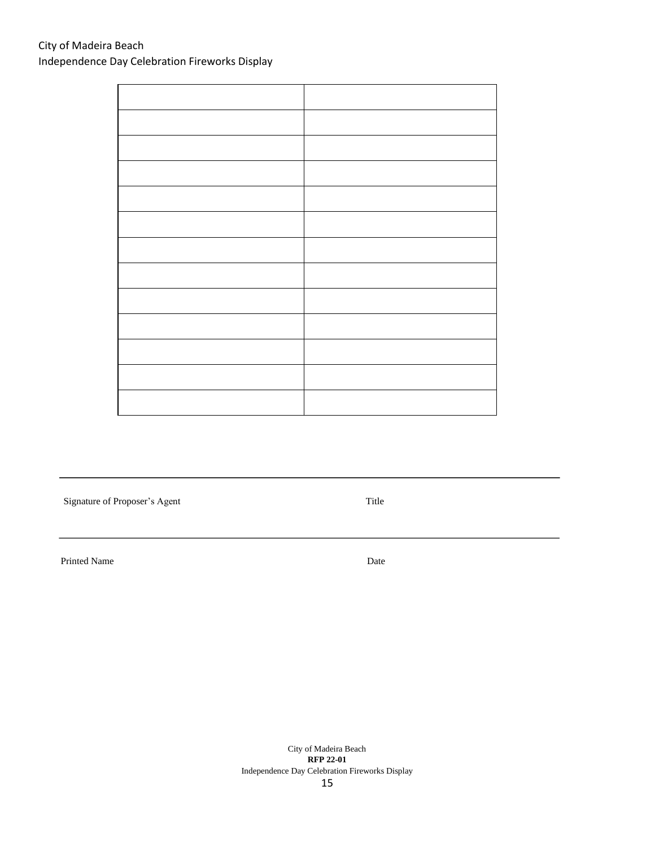Signature of Proposer's Agent Title

Printed Name Date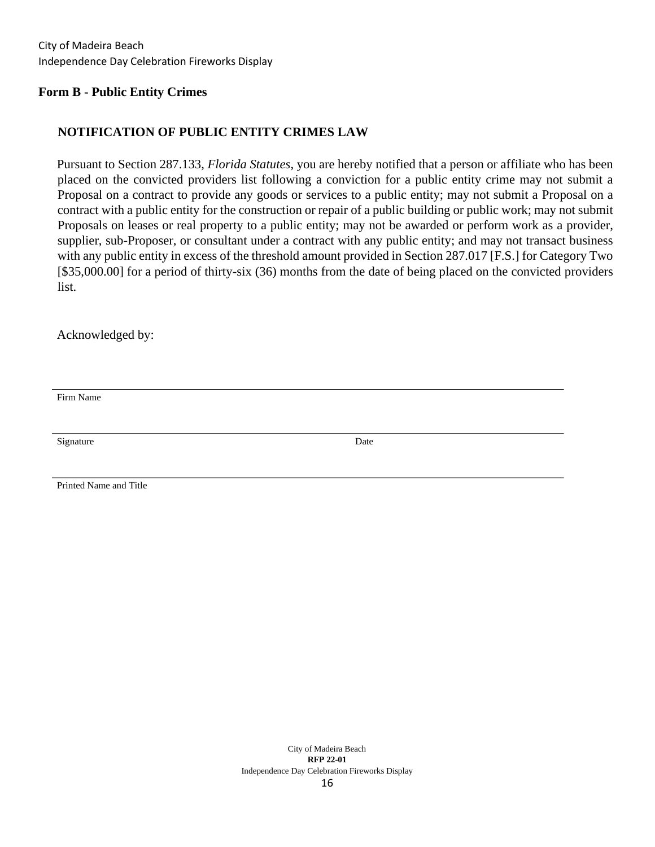#### **Form B - Public Entity Crimes**

#### **NOTIFICATION OF PUBLIC ENTITY CRIMES LAW**

Pursuant to Section 287.133, *Florida Statutes*, you are hereby notified that a person or affiliate who has been placed on the convicted providers list following a conviction for a public entity crime may not submit a Proposal on a contract to provide any goods or services to a public entity; may not submit a Proposal on a contract with a public entity for the construction or repair of a public building or public work; may not submit Proposals on leases or real property to a public entity; may not be awarded or perform work as a provider, supplier, sub-Proposer, or consultant under a contract with any public entity; and may not transact business with any public entity in excess of the threshold amount provided in Section 287.017 [F.S.] for Category Two [\$35,000.00] for a period of thirty-six (36) months from the date of being placed on the convicted providers list.

Acknowledged by:

Firm Name

Signature Date

Printed Name and Title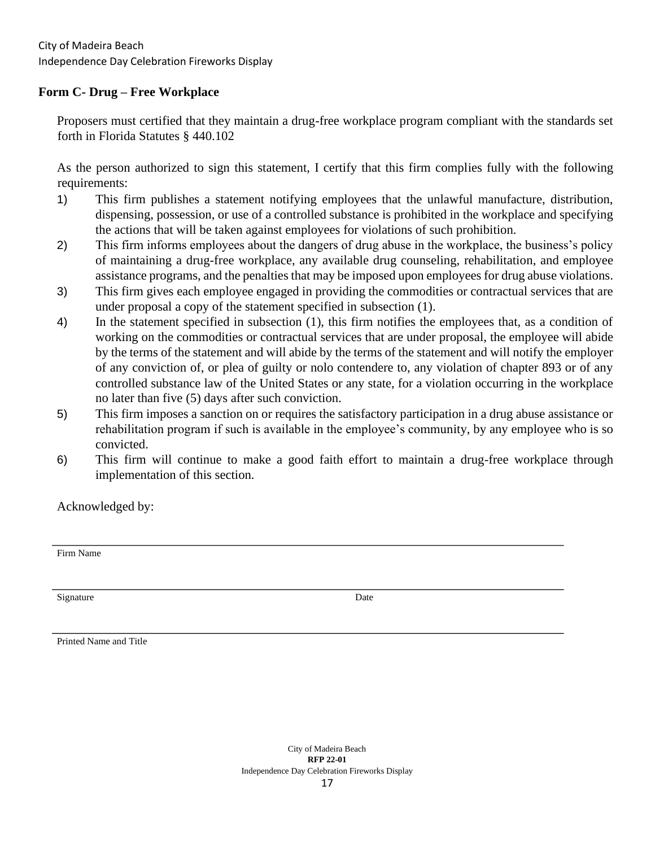#### **Form C- Drug – Free Workplace**

Proposers must certified that they maintain a drug-free workplace program compliant with the standards set forth in Florida Statutes § 440.102

As the person authorized to sign this statement, I certify that this firm complies fully with the following requirements:

- 1) This firm publishes a statement notifying employees that the unlawful manufacture, distribution, dispensing, possession, or use of a controlled substance is prohibited in the workplace and specifying the actions that will be taken against employees for violations of such prohibition.
- 2) This firm informs employees about the dangers of drug abuse in the workplace, the business's policy of maintaining a drug-free workplace, any available drug counseling, rehabilitation, and employee assistance programs, and the penalties that may be imposed upon employees for drug abuse violations.
- 3) This firm gives each employee engaged in providing the commodities or contractual services that are under proposal a copy of the statement specified in subsection (1).
- 4) In the statement specified in subsection (1), this firm notifies the employees that, as a condition of working on the commodities or contractual services that are under proposal, the employee will abide by the terms of the statement and will abide by the terms of the statement and will notify the employer of any conviction of, or plea of guilty or nolo contendere to, any violation of chapter 893 or of any controlled substance law of the United States or any state, for a violation occurring in the workplace no later than five (5) days after such conviction.
- 5) This firm imposes a sanction on or requires the satisfactory participation in a drug abuse assistance or rehabilitation program if such is available in the employee's community, by any employee who is so convicted.
- 6) This firm will continue to make a good faith effort to maintain a drug-free workplace through implementation of this section.

Acknowledged by:

Firm Name

Signature Date

Printed Name and Title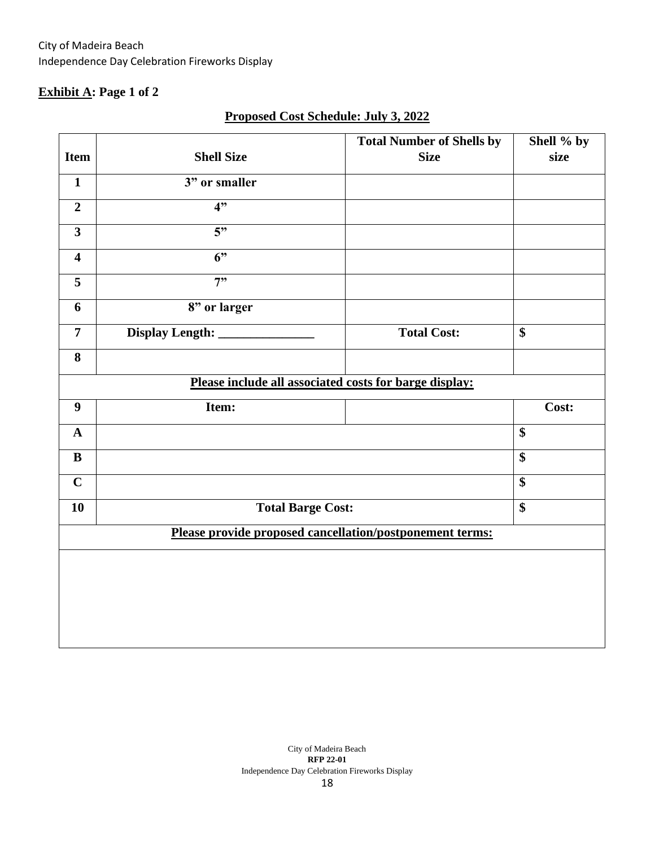# **Exhibit A: Page 1 of 2**

| size                                                     |  |  |  |  |
|----------------------------------------------------------|--|--|--|--|
|                                                          |  |  |  |  |
|                                                          |  |  |  |  |
|                                                          |  |  |  |  |
|                                                          |  |  |  |  |
|                                                          |  |  |  |  |
|                                                          |  |  |  |  |
|                                                          |  |  |  |  |
|                                                          |  |  |  |  |
|                                                          |  |  |  |  |
| Please include all associated costs for barge display:   |  |  |  |  |
| Cost:                                                    |  |  |  |  |
|                                                          |  |  |  |  |
|                                                          |  |  |  |  |
|                                                          |  |  |  |  |
|                                                          |  |  |  |  |
| Please provide proposed cancellation/postponement terms: |  |  |  |  |
|                                                          |  |  |  |  |
|                                                          |  |  |  |  |
|                                                          |  |  |  |  |
|                                                          |  |  |  |  |
|                                                          |  |  |  |  |

# **Proposed Cost Schedule: July 3, 2022**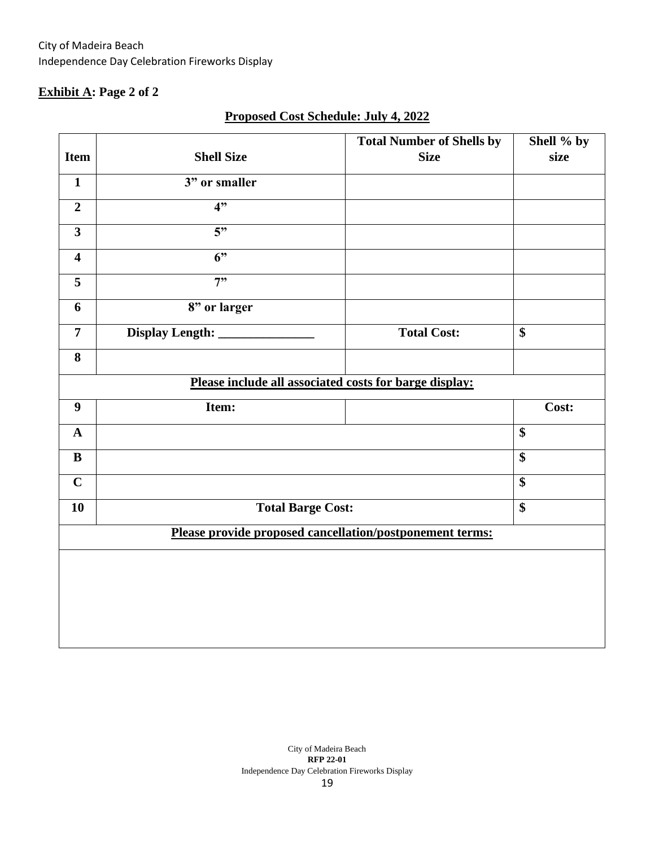# **Exhibit A: Page 2 of 2**

|                                                          |                          | <b>Total Number of Shells by</b> | Shell % by        |  |
|----------------------------------------------------------|--------------------------|----------------------------------|-------------------|--|
| <b>Item</b>                                              | <b>Shell Size</b>        | <b>Size</b>                      | size              |  |
| $\mathbf{1}$                                             | 3" or smaller            |                                  |                   |  |
| $\overline{2}$                                           | 4"                       |                                  |                   |  |
| $\overline{\mathbf{3}}$                                  | 5"                       |                                  |                   |  |
| $\overline{\mathbf{4}}$                                  | $\overline{6}$           |                                  |                   |  |
| 5                                                        | 7"                       |                                  |                   |  |
| 6                                                        | 8" or larger             |                                  |                   |  |
| $\overline{7}$                                           | Display Length: __       | <b>Total Cost:</b>               | $\overline{\$}$   |  |
| 8                                                        |                          |                                  |                   |  |
| Please include all associated costs for barge display:   |                          |                                  |                   |  |
| $\boldsymbol{9}$                                         | Item:                    |                                  | Cost:             |  |
| $\mathbf A$                                              |                          |                                  | $\boldsymbol{\$}$ |  |
| $\, {\bf B}$                                             |                          |                                  | $\overline{\$}$   |  |
| $\mathbf C$                                              |                          |                                  | \$                |  |
| 10                                                       | <b>Total Barge Cost:</b> |                                  | \$                |  |
| Please provide proposed cancellation/postponement terms: |                          |                                  |                   |  |
|                                                          |                          |                                  |                   |  |
|                                                          |                          |                                  |                   |  |
|                                                          |                          |                                  |                   |  |
|                                                          |                          |                                  |                   |  |
|                                                          |                          |                                  |                   |  |

# **Proposed Cost Schedule: July 4, 2022**